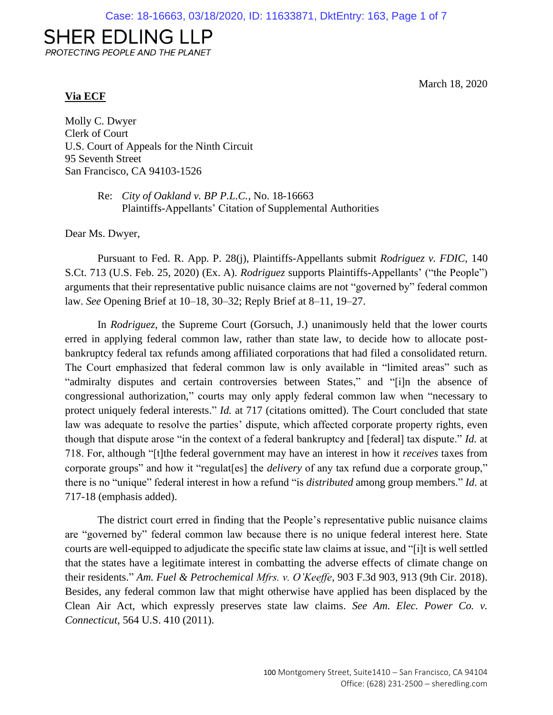# **SHER EDLING LLP**

PROTECTING PEOPLE AND THE PLANET

### **Via ECF**

March 18, 2020

Molly C. Dwyer Clerk of Court U.S. Court of Appeals for the Ninth Circuit 95 Seventh Street San Francisco, CA 94103-1526

> Re: *City of Oakland v. BP P.L.C.*, No. 18-16663 Plaintiffs-Appellants' Citation of Supplemental Authorities

Dear Ms. Dwyer,

Pursuant to Fed. R. App. P. 28(j), Plaintiffs-Appellants submit *Rodriguez v. FDIC*, 140 S.Ct. 713 (U.S. Feb. 25, 2020) (Ex. A). *Rodriguez* supports Plaintiffs-Appellants' ("the People") arguments that their representative public nuisance claims are not "governed by" federal common law. *See* Opening Brief at 10–18, 30–32; Reply Brief at 8–11, 19–27.

In *Rodriguez*, the Supreme Court (Gorsuch, J.) unanimously held that the lower courts erred in applying federal common law, rather than state law, to decide how to allocate postbankruptcy federal tax refunds among affiliated corporations that had filed a consolidated return. The Court emphasized that federal common law is only available in "limited areas" such as "admiralty disputes and certain controversies between States," and "[i]n the absence of congressional authorization," courts may only apply federal common law when "necessary to protect uniquely federal interests." *Id.* at 717 (citations omitted). The Court concluded that state law was adequate to resolve the parties' dispute, which affected corporate property rights, even though that dispute arose "in the context of a federal bankruptcy and [federal] tax dispute." *Id.* at 718. For, although "[t]the federal government may have an interest in how it *receives* taxes from corporate groups" and how it "regulat[es] the *delivery* of any tax refund due a corporate group," there is no "unique" federal interest in how a refund "is *distributed* among group members." *Id*. at 717-18 (emphasis added).

The district court erred in finding that the People's representative public nuisance claims are "governed by" federal common law because there is no unique federal interest here. State courts are well-equipped to adjudicate the specific state law claims at issue, and "[i]t is well settled that the states have a legitimate interest in combatting the adverse effects of climate change on their residents." *Am. Fuel & Petrochemical Mfrs. v. O'Keeffe*, 903 F.3d 903, 913 (9th Cir. 2018). Besides, any federal common law that might otherwise have applied has been displaced by the Clean Air Act, which expressly preserves state law claims. *See Am. Elec. Power Co. v. Connecticut*, 564 U.S. 410 (2011).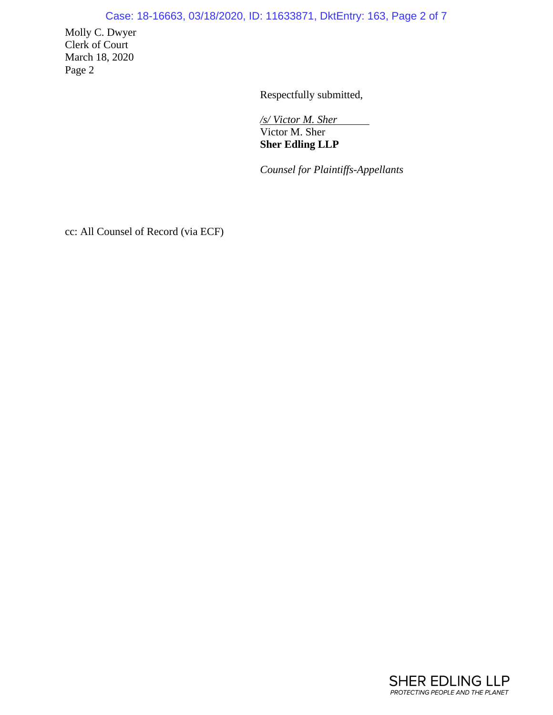## Case: 18-16663, 03/18/2020, ID: 11633871, DktEntry: 163, Page 2 of 7

Molly C. Dwyer Clerk of Court March 18, 2020 Page 2

Respectfully submitted,

*/s/ Victor M. Sher*  Victor M. Sher **Sher Edling LLP**

*Counsel for Plaintiffs-Appellants*

cc: All Counsel of Record (via ECF)

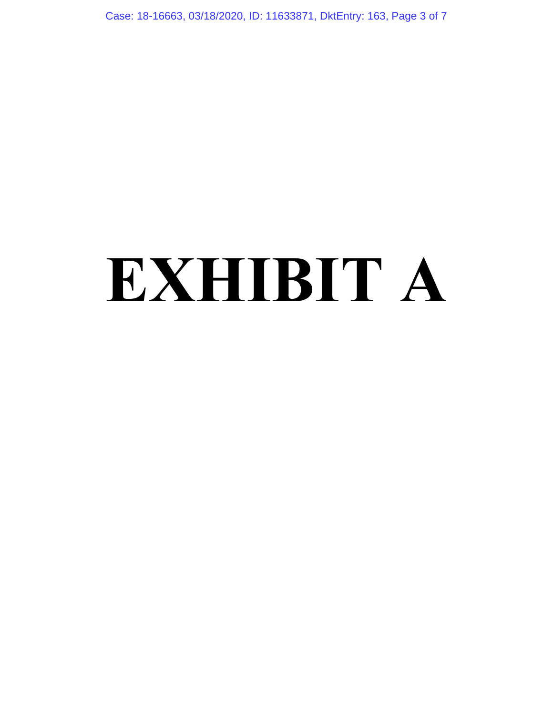Case: 18-16663, 03/18/2020, ID: 11633871, DktEntry: 163, Page 3 of 7

# **EXHIBIT A**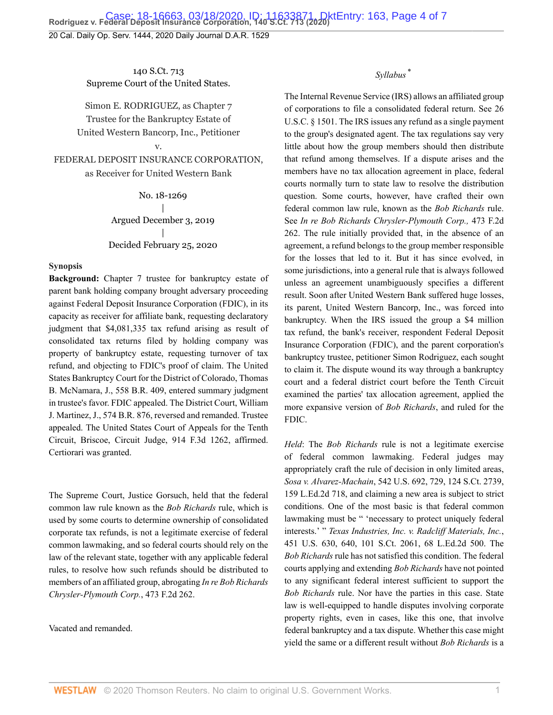20 Cal. Daily Op. Serv. 1444, 2020 Daily Journal D.A.R. 1529

140 S.Ct. 713 Supreme Court of the United States.

Simon E. RODRIGUEZ, as Chapter 7 Trustee for the Bankruptcy Estate of United Western Bancorp, Inc., Petitioner

FEDERAL DEPOSIT INSURANCE CORPORATION, as Receiver for United Western Bank

v.

No. 18-1269 | Argued December 3, 2019 | Decided February 25, 2020

#### **Synopsis**

**Background:** Chapter 7 trustee for bankruptcy estate of parent bank holding company brought adversary proceeding against Federal Deposit Insurance Corporation (FDIC), in its capacity as receiver for affiliate bank, requesting declaratory judgment that \$4,081,335 tax refund arising as result of consolidated tax returns filed by holding company was property of bankruptcy estate, requesting turnover of tax refund, and objecting to FDIC's proof of claim. The United States Bankruptcy Court for the District of Colorado, [Thomas](http://www.westlaw.com/Link/Document/FullText?findType=h&pubNum=176284&cite=0182121999&originatingDoc=Id6e8095257e111eabf0f8b3df1233a01&refType=RQ&originationContext=document&vr=3.0&rs=cblt1.0&transitionType=DocumentItem&contextData=(sc.Default)) [B. McNamara,](http://www.westlaw.com/Link/Document/FullText?findType=h&pubNum=176284&cite=0182121999&originatingDoc=Id6e8095257e111eabf0f8b3df1233a01&refType=RQ&originationContext=document&vr=3.0&rs=cblt1.0&transitionType=DocumentItem&contextData=(sc.Default)) J., [558 B.R. 409,](http://www.westlaw.com/Link/Document/FullText?findType=Y&serNum=2039868909&pubNum=0000164&originatingDoc=Id6e8095257e111eabf0f8b3df1233a01&refType=RP&originationContext=document&vr=3.0&rs=cblt1.0&transitionType=DocumentItem&contextData=(sc.Default)) entered summary judgment in trustee's favor. FDIC appealed. The District Court, [William](http://www.westlaw.com/Link/Document/FullText?findType=h&pubNum=176284&cite=0287326801&originatingDoc=Id6e8095257e111eabf0f8b3df1233a01&refType=RQ&originationContext=document&vr=3.0&rs=cblt1.0&transitionType=DocumentItem&contextData=(sc.Default)) [J. Martinez,](http://www.westlaw.com/Link/Document/FullText?findType=h&pubNum=176284&cite=0287326801&originatingDoc=Id6e8095257e111eabf0f8b3df1233a01&refType=RQ&originationContext=document&vr=3.0&rs=cblt1.0&transitionType=DocumentItem&contextData=(sc.Default)) J., [574 B.R. 876](http://www.westlaw.com/Link/Document/FullText?findType=Y&serNum=2042098243&pubNum=0000164&originatingDoc=Id6e8095257e111eabf0f8b3df1233a01&refType=RP&originationContext=document&vr=3.0&rs=cblt1.0&transitionType=DocumentItem&contextData=(sc.Default)), reversed and remanded. Trustee appealed. The United States Court of Appeals for the Tenth Circuit, Briscoe, Circuit Judge, [914 F.3d 1262,](http://www.westlaw.com/Link/Document/FullText?findType=Y&serNum=2047421868&pubNum=0000506&originatingDoc=Id6e8095257e111eabf0f8b3df1233a01&refType=RP&originationContext=document&vr=3.0&rs=cblt1.0&transitionType=DocumentItem&contextData=(sc.Default)) affirmed. Certiorari was granted.

The Supreme Court, Justice [Gorsuch,](http://www.westlaw.com/Link/Document/FullText?findType=h&pubNum=176284&cite=0183411701&originatingDoc=Id6e8095257e111eabf0f8b3df1233a01&refType=RQ&originationContext=document&vr=3.0&rs=cblt1.0&transitionType=DocumentItem&contextData=(sc.Default)) held that the federal common law rule known as the *Bob Richards* rule, which is used by some courts to determine ownership of consolidated corporate tax refunds, is not a legitimate exercise of federal common lawmaking, and so federal courts should rely on the law of the relevant state, together with any applicable federal rules, to resolve how such refunds should be distributed to members of an affiliated group, abrogating *[In re Bob Richards](http://www.westlaw.com/Link/Document/FullText?findType=Y&serNum=1973108465&pubNum=0000350&originatingDoc=Id6e8095257e111eabf0f8b3df1233a01&refType=RP&originationContext=document&vr=3.0&rs=cblt1.0&transitionType=DocumentItem&contextData=(sc.Default)) [Chrysler-Plymouth Corp.](http://www.westlaw.com/Link/Document/FullText?findType=Y&serNum=1973108465&pubNum=0000350&originatingDoc=Id6e8095257e111eabf0f8b3df1233a01&refType=RP&originationContext=document&vr=3.0&rs=cblt1.0&transitionType=DocumentItem&contextData=(sc.Default))*, 473 F.2d 262.

Vacated and remanded.

#### <span id="page-3-0"></span>*Syllabus* [\\*](#page-6-0)

The Internal Revenue Service (IRS) allows an affiliated group of corporations to file a consolidated federal return. See [26](http://www.westlaw.com/Link/Document/FullText?findType=L&pubNum=1000546&cite=26USCAS1501&originatingDoc=Id6e8095257e111eabf0f8b3df1233a01&refType=LQ&originationContext=document&vr=3.0&rs=cblt1.0&transitionType=DocumentItem&contextData=(sc.Default)) [U.S.C. § 1501.](http://www.westlaw.com/Link/Document/FullText?findType=L&pubNum=1000546&cite=26USCAS1501&originatingDoc=Id6e8095257e111eabf0f8b3df1233a01&refType=LQ&originationContext=document&vr=3.0&rs=cblt1.0&transitionType=DocumentItem&contextData=(sc.Default)) The IRS issues any refund as a single payment to the group's designated agent. The tax regulations say very little about how the group members should then distribute that refund among themselves. If a dispute arises and the members have no tax allocation agreement in place, federal courts normally turn to state law to resolve the distribution question. Some courts, however, have crafted their own federal common law rule, known as the *[Bob Richards](http://www.westlaw.com/Link/Document/FullText?findType=Y&serNum=1973108465&originatingDoc=Id6e8095257e111eabf0f8b3df1233a01&refType=RP&originationContext=document&vr=3.0&rs=cblt1.0&transitionType=DocumentItem&contextData=(sc.Default))* rule. See *[In re Bob Richards Chrysler-Plymouth Corp.,](http://www.westlaw.com/Link/Document/FullText?findType=Y&serNum=1973108465&pubNum=0000350&originatingDoc=Id6e8095257e111eabf0f8b3df1233a01&refType=RP&originationContext=document&vr=3.0&rs=cblt1.0&transitionType=DocumentItem&contextData=(sc.Default))* 473 F.2d [262](http://www.westlaw.com/Link/Document/FullText?findType=Y&serNum=1973108465&pubNum=0000350&originatingDoc=Id6e8095257e111eabf0f8b3df1233a01&refType=RP&originationContext=document&vr=3.0&rs=cblt1.0&transitionType=DocumentItem&contextData=(sc.Default)). The rule initially provided that, in the absence of an agreement, a refund belongs to the group member responsible for the losses that led to it. But it has since evolved, in some jurisdictions, into a general rule that is always followed unless an agreement unambiguously specifies a different result. Soon after United Western Bank suffered huge losses, its parent, United Western Bancorp, Inc., was forced into bankruptcy. When the IRS issued the group a \$4 million tax refund, the bank's receiver, respondent Federal Deposit Insurance Corporation (FDIC), and the parent corporation's bankruptcy trustee, petitioner Simon Rodriguez, each sought to claim it. The dispute wound its way through a bankruptcy court and a federal district court before the Tenth Circuit examined the parties' tax allocation agreement, applied the more expansive version of *[Bob Richards](http://www.westlaw.com/Link/Document/FullText?findType=Y&serNum=1973108465&pubNum=0000350&originatingDoc=Id6e8095257e111eabf0f8b3df1233a01&refType=RP&originationContext=document&vr=3.0&rs=cblt1.0&transitionType=DocumentItem&contextData=(sc.Default))*, and ruled for the FDIC.

*Held*: The *[Bob Richards](http://www.westlaw.com/Link/Document/FullText?findType=Y&serNum=1973108465&pubNum=0000350&originatingDoc=Id6e8095257e111eabf0f8b3df1233a01&refType=RP&originationContext=document&vr=3.0&rs=cblt1.0&transitionType=DocumentItem&contextData=(sc.Default))* rule is not a legitimate exercise of federal common lawmaking. Federal judges may appropriately craft the rule of decision in only limited areas, *Sosa v. Alvarez-Machain*[, 542 U.S. 692, 729, 124 S.Ct. 2739,](http://www.westlaw.com/Link/Document/FullText?findType=Y&serNum=2004637442&pubNum=0000780&originatingDoc=Id6e8095257e111eabf0f8b3df1233a01&refType=RP&fi=co_pp_sp_780_729&originationContext=document&vr=3.0&rs=cblt1.0&transitionType=DocumentItem&contextData=(sc.Default)#co_pp_sp_780_729) [159 L.Ed.2d 718](http://www.westlaw.com/Link/Document/FullText?findType=Y&serNum=2004637442&pubNum=0000780&originatingDoc=Id6e8095257e111eabf0f8b3df1233a01&refType=RP&fi=co_pp_sp_780_729&originationContext=document&vr=3.0&rs=cblt1.0&transitionType=DocumentItem&contextData=(sc.Default)#co_pp_sp_780_729), and claiming a new area is subject to strict conditions. One of the most basic is that federal common lawmaking must be " 'necessary to protect uniquely federal interests.' " *[Texas Industries, Inc. v. Radcliff Materials, Inc.](http://www.westlaw.com/Link/Document/FullText?findType=Y&serNum=1981122695&pubNum=0000780&originatingDoc=Id6e8095257e111eabf0f8b3df1233a01&refType=RP&fi=co_pp_sp_780_640&originationContext=document&vr=3.0&rs=cblt1.0&transitionType=DocumentItem&contextData=(sc.Default)#co_pp_sp_780_640)*, [451 U.S. 630, 640, 101 S.Ct. 2061, 68 L.Ed.2d 500.](http://www.westlaw.com/Link/Document/FullText?findType=Y&serNum=1981122695&pubNum=0000780&originatingDoc=Id6e8095257e111eabf0f8b3df1233a01&refType=RP&fi=co_pp_sp_780_640&originationContext=document&vr=3.0&rs=cblt1.0&transitionType=DocumentItem&contextData=(sc.Default)#co_pp_sp_780_640) The *[Bob Richards](http://www.westlaw.com/Link/Document/FullText?findType=Y&serNum=1973108465&pubNum=0000350&originatingDoc=Id6e8095257e111eabf0f8b3df1233a01&refType=RP&originationContext=document&vr=3.0&rs=cblt1.0&transitionType=DocumentItem&contextData=(sc.Default))* rule has not satisfied this condition. The federal courts applying and extending *[Bob Richards](http://www.westlaw.com/Link/Document/FullText?findType=Y&serNum=1973108465&pubNum=0000350&originatingDoc=Id6e8095257e111eabf0f8b3df1233a01&refType=RP&originationContext=document&vr=3.0&rs=cblt1.0&transitionType=DocumentItem&contextData=(sc.Default))* have not pointed to any significant federal interest sufficient to support the *[Bob Richards](http://www.westlaw.com/Link/Document/FullText?findType=Y&serNum=1973108465&pubNum=0000350&originatingDoc=Id6e8095257e111eabf0f8b3df1233a01&refType=RP&originationContext=document&vr=3.0&rs=cblt1.0&transitionType=DocumentItem&contextData=(sc.Default))* rule. Nor have the parties in this case. State law is well-equipped to handle disputes involving corporate property rights, even in cases, like this one, that involve federal bankruptcy and a tax dispute. Whether this case might yield the same or a different result without *[Bob Richards](http://www.westlaw.com/Link/Document/FullText?findType=Y&serNum=1973108465&pubNum=0000350&originatingDoc=Id6e8095257e111eabf0f8b3df1233a01&refType=RP&originationContext=document&vr=3.0&rs=cblt1.0&transitionType=DocumentItem&contextData=(sc.Default))* is a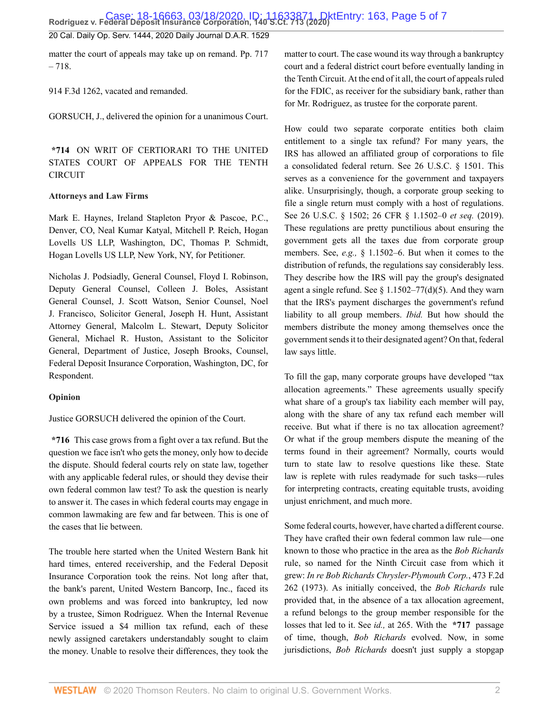20 Cal. Daily Op. Serv. 1444, 2020 Daily Journal D.A.R. 1529

matter the court of appeals may take up on remand. Pp. 717 – 718.

[914 F.3d 1262](http://www.westlaw.com/Link/Document/FullText?findType=Y&serNum=2047421868&pubNum=0000506&originatingDoc=Id6e8095257e111eabf0f8b3df1233a01&refType=RP&originationContext=document&vr=3.0&rs=cblt1.0&transitionType=DocumentItem&contextData=(sc.Default)), vacated and remanded.

[GORSUCH,](http://www.westlaw.com/Link/Document/FullText?findType=h&pubNum=176284&cite=0183411701&originatingDoc=Id6e8095257e111eabf0f8b3df1233a01&refType=RQ&originationContext=document&vr=3.0&rs=cblt1.0&transitionType=DocumentItem&contextData=(sc.Default)) J., delivered the opinion for a unanimous Court.

**\*714** ON WRIT OF CERTIORARI TO THE UNITED STATES COURT OF APPEALS FOR THE TENTH CIRCUIT

#### **Attorneys and Law Firms**

[Mark E. Haynes](http://www.westlaw.com/Link/Document/FullText?findType=h&pubNum=176284&cite=0158063101&originatingDoc=Id6e8095257e111eabf0f8b3df1233a01&refType=RQ&originationContext=document&vr=3.0&rs=cblt1.0&transitionType=DocumentItem&contextData=(sc.Default)), Ireland Stapleton Pryor & Pascoe, P.C., Denver, CO, [Neal Kumar Katyal](http://www.westlaw.com/Link/Document/FullText?findType=h&pubNum=176284&cite=0342038801&originatingDoc=Id6e8095257e111eabf0f8b3df1233a01&refType=RQ&originationContext=document&vr=3.0&rs=cblt1.0&transitionType=DocumentItem&contextData=(sc.Default)), [Mitchell P. Reich,](http://www.westlaw.com/Link/Document/FullText?findType=h&pubNum=176284&cite=0501391499&originatingDoc=Id6e8095257e111eabf0f8b3df1233a01&refType=RQ&originationContext=document&vr=3.0&rs=cblt1.0&transitionType=DocumentItem&contextData=(sc.Default)) Hogan Lovells US LLP, Washington, DC, [Thomas P. Schmidt](http://www.westlaw.com/Link/Document/FullText?findType=h&pubNum=176284&cite=0489209099&originatingDoc=Id6e8095257e111eabf0f8b3df1233a01&refType=RQ&originationContext=document&vr=3.0&rs=cblt1.0&transitionType=DocumentItem&contextData=(sc.Default)), Hogan Lovells US LLP, New York, NY, for Petitioner.

Nicholas J. Podsiadly, General Counsel, [Floyd I. Robinson](http://www.westlaw.com/Link/Document/FullText?findType=h&pubNum=176284&cite=0185301401&originatingDoc=Id6e8095257e111eabf0f8b3df1233a01&refType=RQ&originationContext=document&vr=3.0&rs=cblt1.0&transitionType=DocumentItem&contextData=(sc.Default)), Deputy General Counsel, Colleen J. Boles, Assistant General Counsel, [J. Scott Watson](http://www.westlaw.com/Link/Document/FullText?findType=h&pubNum=176284&cite=0289919301&originatingDoc=Id6e8095257e111eabf0f8b3df1233a01&refType=RQ&originationContext=document&vr=3.0&rs=cblt1.0&transitionType=DocumentItem&contextData=(sc.Default)), Senior Counsel, [Noel](http://www.westlaw.com/Link/Document/FullText?findType=h&pubNum=176284&cite=0317813001&originatingDoc=Id6e8095257e111eabf0f8b3df1233a01&refType=RQ&originationContext=document&vr=3.0&rs=cblt1.0&transitionType=DocumentItem&contextData=(sc.Default)) [J. Francisco,](http://www.westlaw.com/Link/Document/FullText?findType=h&pubNum=176284&cite=0317813001&originatingDoc=Id6e8095257e111eabf0f8b3df1233a01&refType=RQ&originationContext=document&vr=3.0&rs=cblt1.0&transitionType=DocumentItem&contextData=(sc.Default)) Solicitor General, Joseph H. Hunt, Assistant Attorney General, [Malcolm L. Stewart](http://www.westlaw.com/Link/Document/FullText?findType=h&pubNum=176284&cite=0126345401&originatingDoc=Id6e8095257e111eabf0f8b3df1233a01&refType=RQ&originationContext=document&vr=3.0&rs=cblt1.0&transitionType=DocumentItem&contextData=(sc.Default)), Deputy Solicitor General, [Michael R. Huston,](http://www.westlaw.com/Link/Document/FullText?findType=h&pubNum=176284&cite=0486672301&originatingDoc=Id6e8095257e111eabf0f8b3df1233a01&refType=RQ&originationContext=document&vr=3.0&rs=cblt1.0&transitionType=DocumentItem&contextData=(sc.Default)) Assistant to the Solicitor General, Department of Justice, [Joseph Brooks](http://www.westlaw.com/Link/Document/FullText?findType=h&pubNum=176284&cite=0308378901&originatingDoc=Id6e8095257e111eabf0f8b3df1233a01&refType=RQ&originationContext=document&vr=3.0&rs=cblt1.0&transitionType=DocumentItem&contextData=(sc.Default)), Counsel, Federal Deposit Insurance Corporation, Washington, DC, for Respondent.

#### **Opinion**

Justice [GORSUCH](http://www.westlaw.com/Link/Document/FullText?findType=h&pubNum=176284&cite=0183411701&originatingDoc=Id6e8095257e111eabf0f8b3df1233a01&refType=RQ&originationContext=document&vr=3.0&rs=cblt1.0&transitionType=DocumentItem&contextData=(sc.Default)) delivered the opinion of the Court.

**\*716** This case grows from a fight over a tax refund. But the question we face isn't who gets the money, only how to decide the dispute. Should federal courts rely on state law, together with any applicable federal rules, or should they devise their own federal common law test? To ask the question is nearly to answer it. The cases in which federal courts may engage in common lawmaking are few and far between. This is one of the cases that lie between.

The trouble here started when the United Western Bank hit hard times, entered receivership, and the Federal Deposit Insurance Corporation took the reins. Not long after that, the bank's parent, United Western Bancorp, Inc., faced its own problems and was forced into bankruptcy, led now by a trustee, Simon Rodriguez. When the Internal Revenue Service issued a \$4 million tax refund, each of these newly assigned caretakers understandably sought to claim the money. Unable to resolve their differences, they took the

matter to court. The case [wound](http://www.westlaw.com/Link/Document/FullText?entityType=gdrug&entityId=Iff1648e16c7111e18b05fdf15589d8e8&originationContext=document&transitionType=DocumentItem&contextData=(sc.Default)&vr=3.0&rs=cblt1.0) its way through a bankruptcy court and a federal district court before eventually landing in the Tenth Circuit. At the end of it all, the court of appeals ruled for the FDIC, as receiver for the subsidiary bank, rather than for Mr. Rodriguez, as trustee for the corporate parent.

How could two separate corporate entities both claim entitlement to a single tax refund? For many years, the IRS has allowed an affiliated group of corporations to file a consolidated federal return. See [26 U.S.C. § 1501.](http://www.westlaw.com/Link/Document/FullText?findType=L&pubNum=1000546&cite=26USCAS1501&originatingDoc=Id6e8095257e111eabf0f8b3df1233a01&refType=LQ&originationContext=document&vr=3.0&rs=cblt1.0&transitionType=DocumentItem&contextData=(sc.Default)) This serves as a convenience for the government and taxpayers alike. Unsurprisingly, though, a corporate group seeking to file a single return must comply with a host of regulations. See [26 U.S.C. § 1502](http://www.westlaw.com/Link/Document/FullText?findType=L&pubNum=1000546&cite=26USCAS1502&originatingDoc=Id6e8095257e111eabf0f8b3df1233a01&refType=LQ&originationContext=document&vr=3.0&rs=cblt1.0&transitionType=DocumentItem&contextData=(sc.Default)); [26 CFR § 1.1502–0](http://www.westlaw.com/Link/Document/FullText?findType=L&pubNum=1000547&cite=26CFRS1.1502-0&originatingDoc=Id6e8095257e111eabf0f8b3df1233a01&refType=LQ&originationContext=document&vr=3.0&rs=cblt1.0&transitionType=DocumentItem&contextData=(sc.Default)) *et seq.* (2019). These regulations are pretty punctilious about ensuring the government gets all the taxes due from corporate group members. See, *e.g.,* § 1.1502–6. But when it comes to the distribution of refunds, the regulations say considerably less. They describe how the IRS will pay the group's designated agent a single refund. See  $\S$  1.1502–77(d)(5). And they warn that the IRS's payment discharges the government's refund liability to all group members. *Ibid.* But how should the members distribute the money among themselves once the government sends it to their designated agent? On that, federal law says little.

To fill the gap, many corporate groups have developed "tax allocation agreements." These agreements usually specify what share of a group's tax liability each member will pay, along with the share of any tax refund each member will receive. But what if there is no tax allocation agreement? Or what if the group members dispute the meaning of the terms found in their agreement? Normally, courts would turn to state law to resolve questions like these. State law is replete with rules readymade for such tasks—rules for interpreting contracts, creating equitable trusts, avoiding unjust enrichment, and much more.

Some federal courts, however, have charted a different course. They have crafted their own federal common law rule—one known to those who practice in the area as the *[Bob Richards](http://www.westlaw.com/Link/Document/FullText?findType=Y&serNum=1973108465&originatingDoc=Id6e8095257e111eabf0f8b3df1233a01&refType=RP&originationContext=document&vr=3.0&rs=cblt1.0&transitionType=DocumentItem&contextData=(sc.Default))* rule, so named for the Ninth Circuit case from which it grew: *[In re Bob Richards Chrysler-Plymouth Corp.](http://www.westlaw.com/Link/Document/FullText?findType=Y&serNum=1973108465&pubNum=0000350&originatingDoc=Id6e8095257e111eabf0f8b3df1233a01&refType=RP&originationContext=document&vr=3.0&rs=cblt1.0&transitionType=DocumentItem&contextData=(sc.Default))*, 473 F.2d [262 \(1973\).](http://www.westlaw.com/Link/Document/FullText?findType=Y&serNum=1973108465&pubNum=0000350&originatingDoc=Id6e8095257e111eabf0f8b3df1233a01&refType=RP&originationContext=document&vr=3.0&rs=cblt1.0&transitionType=DocumentItem&contextData=(sc.Default)) As initially conceived, the *[Bob Richards](http://www.westlaw.com/Link/Document/FullText?findType=Y&serNum=1973108465&pubNum=0000350&originatingDoc=Id6e8095257e111eabf0f8b3df1233a01&refType=RP&originationContext=document&vr=3.0&rs=cblt1.0&transitionType=DocumentItem&contextData=(sc.Default))* rule provided that, in the absence of a tax allocation agreement, a refund belongs to the group member responsible for the losses that led to it. See *id.,* [at 265.](http://www.westlaw.com/Link/Document/FullText?findType=Y&serNum=1973108465&pubNum=0000350&originatingDoc=Id6e8095257e111eabf0f8b3df1233a01&refType=RP&fi=co_pp_sp_350_265&originationContext=document&vr=3.0&rs=cblt1.0&transitionType=DocumentItem&contextData=(sc.Default)#co_pp_sp_350_265) With the **\*717** passage of time, though, *[Bob Richards](http://www.westlaw.com/Link/Document/FullText?findType=Y&serNum=1973108465&pubNum=0000350&originatingDoc=Id6e8095257e111eabf0f8b3df1233a01&refType=RP&originationContext=document&vr=3.0&rs=cblt1.0&transitionType=DocumentItem&contextData=(sc.Default))* evolved. Now, in some jurisdictions, *[Bob Richards](http://www.westlaw.com/Link/Document/FullText?findType=Y&serNum=1973108465&pubNum=0000350&originatingDoc=Id6e8095257e111eabf0f8b3df1233a01&refType=RP&originationContext=document&vr=3.0&rs=cblt1.0&transitionType=DocumentItem&contextData=(sc.Default))* doesn't just supply a stopgap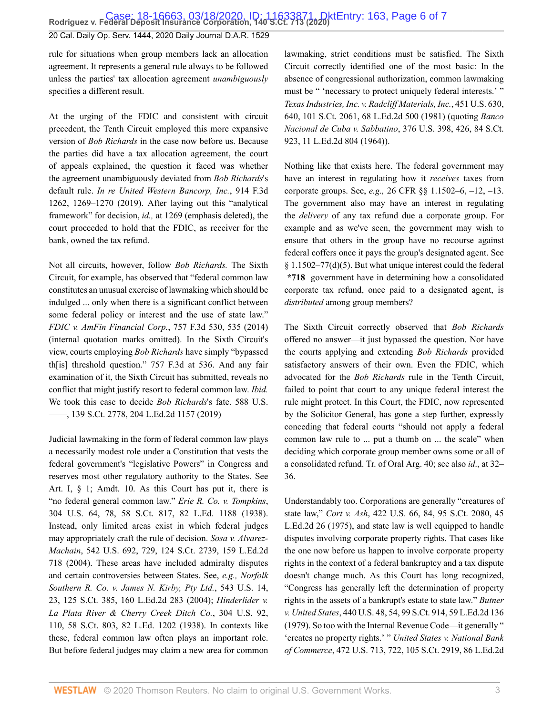#### 20 Cal. Daily Op. Serv. 1444, 2020 Daily Journal D.A.R. 1529

rule for situations when group members lack an allocation agreement. It represents a general rule always to be followed unless the parties' tax allocation agreement *unambiguously* specifies a different result.

At the urging of the FDIC and consistent with circuit precedent, the Tenth Circuit employed this more expansive version of *[Bob Richards](http://www.westlaw.com/Link/Document/FullText?findType=Y&serNum=1973108465&pubNum=0000350&originatingDoc=Id6e8095257e111eabf0f8b3df1233a01&refType=RP&originationContext=document&vr=3.0&rs=cblt1.0&transitionType=DocumentItem&contextData=(sc.Default))* in the case now before us. Because the parties did have a tax allocation agreement, the court of appeals explained, the question it faced was whether the agreement unambiguously deviated from *[Bob Richards](http://www.westlaw.com/Link/Document/FullText?findType=Y&serNum=1973108465&pubNum=0000350&originatingDoc=Id6e8095257e111eabf0f8b3df1233a01&refType=RP&originationContext=document&vr=3.0&rs=cblt1.0&transitionType=DocumentItem&contextData=(sc.Default))*'s default rule. *[In re United Western Bancorp, Inc.](http://www.westlaw.com/Link/Document/FullText?findType=Y&serNum=2047421868&pubNum=0000506&originatingDoc=Id6e8095257e111eabf0f8b3df1233a01&refType=RP&fi=co_pp_sp_506_1269&originationContext=document&vr=3.0&rs=cblt1.0&transitionType=DocumentItem&contextData=(sc.Default)#co_pp_sp_506_1269)*, 914 F.3d [1262, 1269–1270 \(2019\).](http://www.westlaw.com/Link/Document/FullText?findType=Y&serNum=2047421868&pubNum=0000506&originatingDoc=Id6e8095257e111eabf0f8b3df1233a01&refType=RP&fi=co_pp_sp_506_1269&originationContext=document&vr=3.0&rs=cblt1.0&transitionType=DocumentItem&contextData=(sc.Default)#co_pp_sp_506_1269) After laying out this "analytical framework" for decision, *id.,* [at 1269](http://www.westlaw.com/Link/Document/FullText?findType=Y&serNum=2047421868&pubNum=0000506&originatingDoc=Id6e8095257e111eabf0f8b3df1233a01&refType=RP&fi=co_pp_sp_506_1269&originationContext=document&vr=3.0&rs=cblt1.0&transitionType=DocumentItem&contextData=(sc.Default)#co_pp_sp_506_1269) (emphasis deleted), the court proceeded to hold that the FDIC, as receiver for the bank, owned the tax refund.

Not all circuits, however, follow *[Bob Richards.](http://www.westlaw.com/Link/Document/FullText?findType=Y&serNum=1973108465&originatingDoc=Id6e8095257e111eabf0f8b3df1233a01&refType=RP&originationContext=document&vr=3.0&rs=cblt1.0&transitionType=DocumentItem&contextData=(sc.Default))* The Sixth Circuit, for example, has observed that "federal common law constitutes an unusual exercise of lawmaking which should be indulged ... only when there is a significant conflict between some federal policy or interest and the use of state law." *[FDIC v. AmFin Financial Corp.](http://www.westlaw.com/Link/Document/FullText?findType=Y&serNum=2033792015&pubNum=0000506&originatingDoc=Id6e8095257e111eabf0f8b3df1233a01&refType=RP&fi=co_pp_sp_506_535&originationContext=document&vr=3.0&rs=cblt1.0&transitionType=DocumentItem&contextData=(sc.Default)#co_pp_sp_506_535)*, 757 F.3d 530, 535 (2014) (internal quotation marks omitted). In the Sixth Circuit's view, courts employing *[Bob Richards](http://www.westlaw.com/Link/Document/FullText?findType=Y&serNum=1973108465&pubNum=0000350&originatingDoc=Id6e8095257e111eabf0f8b3df1233a01&refType=RP&originationContext=document&vr=3.0&rs=cblt1.0&transitionType=DocumentItem&contextData=(sc.Default))* have simply "bypassed th[is] threshold question." [757 F.3d at 536](http://www.westlaw.com/Link/Document/FullText?findType=Y&serNum=2033792015&pubNum=0000506&originatingDoc=Id6e8095257e111eabf0f8b3df1233a01&refType=RP&fi=co_pp_sp_506_536&originationContext=document&vr=3.0&rs=cblt1.0&transitionType=DocumentItem&contextData=(sc.Default)#co_pp_sp_506_536). And any fair examination of it, the Sixth Circuit has submitted, reveals no conflict that might justify resort to federal common law. *[Ibid.](http://www.westlaw.com/Link/Document/FullText?findType=Y&serNum=2033792015&pubNum=0000506&originatingDoc=Id6e8095257e111eabf0f8b3df1233a01&refType=RP&originationContext=document&vr=3.0&rs=cblt1.0&transitionType=DocumentItem&contextData=(sc.Default))* We took this case to decide *[Bob Richards](http://www.westlaw.com/Link/Document/FullText?findType=Y&serNum=1973108465&originatingDoc=Id6e8095257e111eabf0f8b3df1233a01&refType=RP&originationContext=document&vr=3.0&rs=cblt1.0&transitionType=DocumentItem&contextData=(sc.Default))*'s fate. [588 U.S.](http://www.westlaw.com/Link/Document/FullText?findType=Y&serNum=2047918614&pubNum=0000780&originatingDoc=Id6e8095257e111eabf0f8b3df1233a01&refType=RP&originationContext=document&vr=3.0&rs=cblt1.0&transitionType=DocumentItem&contextData=(sc.Default)) [––––, 139 S.Ct. 2778, 204 L.Ed.2d 1157 \(2019\)](http://www.westlaw.com/Link/Document/FullText?findType=Y&serNum=2047918614&pubNum=0000780&originatingDoc=Id6e8095257e111eabf0f8b3df1233a01&refType=RP&originationContext=document&vr=3.0&rs=cblt1.0&transitionType=DocumentItem&contextData=(sc.Default))

Judicial lawmaking in the form of federal common law plays a necessarily modest role under a Constitution that vests the federal government's "legislative Powers" in Congress and reserves most other regulatory authority to the States. See Art. I, § 1; Amdt. 10. As this Court has put it, there is "no federal general common law." *[Erie R. Co. v. Tompkins](http://www.westlaw.com/Link/Document/FullText?findType=Y&serNum=1938121079&pubNum=0000780&originatingDoc=Id6e8095257e111eabf0f8b3df1233a01&refType=RP&fi=co_pp_sp_780_78&originationContext=document&vr=3.0&rs=cblt1.0&transitionType=DocumentItem&contextData=(sc.Default)#co_pp_sp_780_78)*, [304 U.S. 64, 78, 58 S.Ct. 817, 82 L.Ed. 1188 \(1938\)](http://www.westlaw.com/Link/Document/FullText?findType=Y&serNum=1938121079&pubNum=0000780&originatingDoc=Id6e8095257e111eabf0f8b3df1233a01&refType=RP&fi=co_pp_sp_780_78&originationContext=document&vr=3.0&rs=cblt1.0&transitionType=DocumentItem&contextData=(sc.Default)#co_pp_sp_780_78). Instead, only limited areas exist in which federal judges may appropriately craft the rule of decision. *[Sosa v. Alvarez-](http://www.westlaw.com/Link/Document/FullText?findType=Y&serNum=2004637442&pubNum=0000780&originatingDoc=Id6e8095257e111eabf0f8b3df1233a01&refType=RP&fi=co_pp_sp_780_729&originationContext=document&vr=3.0&rs=cblt1.0&transitionType=DocumentItem&contextData=(sc.Default)#co_pp_sp_780_729)Machain*[, 542 U.S. 692, 729, 124 S.Ct. 2739, 159 L.Ed.2d](http://www.westlaw.com/Link/Document/FullText?findType=Y&serNum=2004637442&pubNum=0000780&originatingDoc=Id6e8095257e111eabf0f8b3df1233a01&refType=RP&fi=co_pp_sp_780_729&originationContext=document&vr=3.0&rs=cblt1.0&transitionType=DocumentItem&contextData=(sc.Default)#co_pp_sp_780_729) [718 \(2004\).](http://www.westlaw.com/Link/Document/FullText?findType=Y&serNum=2004637442&pubNum=0000780&originatingDoc=Id6e8095257e111eabf0f8b3df1233a01&refType=RP&fi=co_pp_sp_780_729&originationContext=document&vr=3.0&rs=cblt1.0&transitionType=DocumentItem&contextData=(sc.Default)#co_pp_sp_780_729) These areas have included admiralty disputes and certain controversies between States. See, *e.g., [Norfolk](http://www.westlaw.com/Link/Document/FullText?findType=Y&serNum=2005465513&pubNum=0000780&originatingDoc=Id6e8095257e111eabf0f8b3df1233a01&refType=RP&fi=co_pp_sp_780_23&originationContext=document&vr=3.0&rs=cblt1.0&transitionType=DocumentItem&contextData=(sc.Default)#co_pp_sp_780_23) [Southern R. Co. v. James N. Kirby, Pty Ltd.](http://www.westlaw.com/Link/Document/FullText?findType=Y&serNum=2005465513&pubNum=0000780&originatingDoc=Id6e8095257e111eabf0f8b3df1233a01&refType=RP&fi=co_pp_sp_780_23&originationContext=document&vr=3.0&rs=cblt1.0&transitionType=DocumentItem&contextData=(sc.Default)#co_pp_sp_780_23)*, 543 U.S. 14, [23, 125 S.Ct. 385, 160 L.Ed.2d 283 \(2004\);](http://www.westlaw.com/Link/Document/FullText?findType=Y&serNum=2005465513&pubNum=0000780&originatingDoc=Id6e8095257e111eabf0f8b3df1233a01&refType=RP&fi=co_pp_sp_780_23&originationContext=document&vr=3.0&rs=cblt1.0&transitionType=DocumentItem&contextData=(sc.Default)#co_pp_sp_780_23) *[Hinderlider v.](http://www.westlaw.com/Link/Document/FullText?findType=Y&serNum=1938122274&pubNum=0000780&originatingDoc=Id6e8095257e111eabf0f8b3df1233a01&refType=RP&fi=co_pp_sp_780_110&originationContext=document&vr=3.0&rs=cblt1.0&transitionType=DocumentItem&contextData=(sc.Default)#co_pp_sp_780_110) [La Plata River & Cherry Creek Ditch Co.](http://www.westlaw.com/Link/Document/FullText?findType=Y&serNum=1938122274&pubNum=0000780&originatingDoc=Id6e8095257e111eabf0f8b3df1233a01&refType=RP&fi=co_pp_sp_780_110&originationContext=document&vr=3.0&rs=cblt1.0&transitionType=DocumentItem&contextData=(sc.Default)#co_pp_sp_780_110)*, 304 U.S. 92, [110, 58 S.Ct. 803, 82 L.Ed. 1202 \(1938\).](http://www.westlaw.com/Link/Document/FullText?findType=Y&serNum=1938122274&pubNum=0000780&originatingDoc=Id6e8095257e111eabf0f8b3df1233a01&refType=RP&fi=co_pp_sp_780_110&originationContext=document&vr=3.0&rs=cblt1.0&transitionType=DocumentItem&contextData=(sc.Default)#co_pp_sp_780_110) In contexts like these, federal common law often plays an important role. But before federal judges may claim a new area for common lawmaking, strict conditions must be satisfied. The Sixth Circuit correctly identified one of the most basic: In the absence of congressional authorization, common lawmaking must be " 'necessary to protect uniquely federal interests.' " *[Texas Industries, Inc. v. Radcliff Materials, Inc.](http://www.westlaw.com/Link/Document/FullText?findType=Y&serNum=1981122695&pubNum=0000780&originatingDoc=Id6e8095257e111eabf0f8b3df1233a01&refType=RP&fi=co_pp_sp_780_640&originationContext=document&vr=3.0&rs=cblt1.0&transitionType=DocumentItem&contextData=(sc.Default)#co_pp_sp_780_640)*, 451 U.S. 630, [640, 101 S.Ct. 2061, 68 L.Ed.2d 500 \(1981\)](http://www.westlaw.com/Link/Document/FullText?findType=Y&serNum=1981122695&pubNum=0000780&originatingDoc=Id6e8095257e111eabf0f8b3df1233a01&refType=RP&fi=co_pp_sp_780_640&originationContext=document&vr=3.0&rs=cblt1.0&transitionType=DocumentItem&contextData=(sc.Default)#co_pp_sp_780_640) (quoting *[Banco](http://www.westlaw.com/Link/Document/FullText?findType=Y&serNum=1964100336&pubNum=0000780&originatingDoc=Id6e8095257e111eabf0f8b3df1233a01&refType=RP&fi=co_pp_sp_780_426&originationContext=document&vr=3.0&rs=cblt1.0&transitionType=DocumentItem&contextData=(sc.Default)#co_pp_sp_780_426) [Nacional de Cuba v. Sabbatino](http://www.westlaw.com/Link/Document/FullText?findType=Y&serNum=1964100336&pubNum=0000780&originatingDoc=Id6e8095257e111eabf0f8b3df1233a01&refType=RP&fi=co_pp_sp_780_426&originationContext=document&vr=3.0&rs=cblt1.0&transitionType=DocumentItem&contextData=(sc.Default)#co_pp_sp_780_426)*, 376 U.S. 398, 426, 84 S.Ct. [923, 11 L.Ed.2d 804 \(1964\)\)](http://www.westlaw.com/Link/Document/FullText?findType=Y&serNum=1964100336&pubNum=0000780&originatingDoc=Id6e8095257e111eabf0f8b3df1233a01&refType=RP&fi=co_pp_sp_780_426&originationContext=document&vr=3.0&rs=cblt1.0&transitionType=DocumentItem&contextData=(sc.Default)#co_pp_sp_780_426).

Nothing like that exists here. The federal government may have an interest in regulating how it *receives* taxes from corporate groups. See, *e.g.,* [26 CFR §§ 1.1502–6](http://www.westlaw.com/Link/Document/FullText?findType=L&pubNum=1000547&cite=26CFRS1.1502-6&originatingDoc=Id6e8095257e111eabf0f8b3df1233a01&refType=LQ&originationContext=document&vr=3.0&rs=cblt1.0&transitionType=DocumentItem&contextData=(sc.Default)), –[12,](http://www.westlaw.com/Link/Document/FullText?findType=L&pubNum=1000547&cite=26CFRS1.1502-12&originatingDoc=Id6e8095257e111eabf0f8b3df1233a01&refType=LQ&originationContext=document&vr=3.0&rs=cblt1.0&transitionType=DocumentItem&contextData=(sc.Default)) [–13](http://www.westlaw.com/Link/Document/FullText?findType=L&pubNum=1000547&cite=26CFRS1.1502-13&originatingDoc=Id6e8095257e111eabf0f8b3df1233a01&refType=LQ&originationContext=document&vr=3.0&rs=cblt1.0&transitionType=DocumentItem&contextData=(sc.Default)). The government also may have an interest in regulating the *delivery* of any tax refund due a corporate group. For example and as we've seen, the government may wish to ensure that others in the group have no recourse against federal coffers once it pays the group's designated agent. See § 1.1502–77(d)(5). But what unique interest could the federal **\*718** government have in determining how a consolidated corporate tax refund, once paid to a designated agent, is *distributed* among group members?

The Sixth Circuit correctly observed that *[Bob Richards](http://www.westlaw.com/Link/Document/FullText?findType=Y&serNum=1973108465&originatingDoc=Id6e8095257e111eabf0f8b3df1233a01&refType=RP&originationContext=document&vr=3.0&rs=cblt1.0&transitionType=DocumentItem&contextData=(sc.Default))* offered no answer—it just bypassed the question. Nor have the courts applying and extending *[Bob Richards](http://www.westlaw.com/Link/Document/FullText?findType=Y&serNum=1973108465&pubNum=0000350&originatingDoc=Id6e8095257e111eabf0f8b3df1233a01&refType=RP&originationContext=document&vr=3.0&rs=cblt1.0&transitionType=DocumentItem&contextData=(sc.Default))* provided satisfactory answers of their own. Even the FDIC, which advocated for the *[Bob Richards](http://www.westlaw.com/Link/Document/FullText?findType=Y&serNum=1973108465&pubNum=0000350&originatingDoc=Id6e8095257e111eabf0f8b3df1233a01&refType=RP&originationContext=document&vr=3.0&rs=cblt1.0&transitionType=DocumentItem&contextData=(sc.Default))* rule in the Tenth Circuit, failed to point that court to any unique federal interest the rule might protect. In this Court, the FDIC, now represented by the Solicitor General, has gone a step further, expressly conceding that federal courts "should not apply a federal common law rule to ... put a thumb on ... the scale" when deciding which corporate group member owns some or all of a consolidated refund. Tr. of Oral Arg. 40; see also *id*., at 32– 36.

Understandably too. Corporations are generally "creatures of state law," *Cort v. Ash*[, 422 U.S. 66, 84, 95 S.Ct. 2080, 45](http://www.westlaw.com/Link/Document/FullText?findType=Y&serNum=1975129812&pubNum=0000780&originatingDoc=Id6e8095257e111eabf0f8b3df1233a01&refType=RP&fi=co_pp_sp_780_84&originationContext=document&vr=3.0&rs=cblt1.0&transitionType=DocumentItem&contextData=(sc.Default)#co_pp_sp_780_84) [L.Ed.2d 26 \(1975\),](http://www.westlaw.com/Link/Document/FullText?findType=Y&serNum=1975129812&pubNum=0000780&originatingDoc=Id6e8095257e111eabf0f8b3df1233a01&refType=RP&fi=co_pp_sp_780_84&originationContext=document&vr=3.0&rs=cblt1.0&transitionType=DocumentItem&contextData=(sc.Default)#co_pp_sp_780_84) and state law is well equipped to handle disputes involving corporate property rights. That cases like the one now before us happen to involve corporate property rights in the context of a federal bankruptcy and a tax dispute doesn't change much. As this Court has long recognized, "Congress has generally left the determination of property rights in the assets of a bankrupt's estate to state law." *[Butner](http://www.westlaw.com/Link/Document/FullText?findType=Y&serNum=1979108028&pubNum=0000780&originatingDoc=Id6e8095257e111eabf0f8b3df1233a01&refType=RP&fi=co_pp_sp_780_54&originationContext=document&vr=3.0&rs=cblt1.0&transitionType=DocumentItem&contextData=(sc.Default)#co_pp_sp_780_54) v. United States*[, 440 U.S. 48, 54, 99 S.Ct. 914, 59 L.Ed.2d 136](http://www.westlaw.com/Link/Document/FullText?findType=Y&serNum=1979108028&pubNum=0000780&originatingDoc=Id6e8095257e111eabf0f8b3df1233a01&refType=RP&fi=co_pp_sp_780_54&originationContext=document&vr=3.0&rs=cblt1.0&transitionType=DocumentItem&contextData=(sc.Default)#co_pp_sp_780_54) [\(1979\).](http://www.westlaw.com/Link/Document/FullText?findType=Y&serNum=1979108028&pubNum=0000780&originatingDoc=Id6e8095257e111eabf0f8b3df1233a01&refType=RP&fi=co_pp_sp_780_54&originationContext=document&vr=3.0&rs=cblt1.0&transitionType=DocumentItem&contextData=(sc.Default)#co_pp_sp_780_54) So too with the Internal Revenue Code—it generally " 'creates no property rights.' " *[United States v. National Bank](http://www.westlaw.com/Link/Document/FullText?findType=Y&serNum=1985132437&pubNum=0000780&originatingDoc=Id6e8095257e111eabf0f8b3df1233a01&refType=RP&fi=co_pp_sp_780_722&originationContext=document&vr=3.0&rs=cblt1.0&transitionType=DocumentItem&contextData=(sc.Default)#co_pp_sp_780_722) of Commerce*[, 472 U.S. 713, 722, 105 S.Ct. 2919, 86 L.Ed.2d](http://www.westlaw.com/Link/Document/FullText?findType=Y&serNum=1985132437&pubNum=0000780&originatingDoc=Id6e8095257e111eabf0f8b3df1233a01&refType=RP&fi=co_pp_sp_780_722&originationContext=document&vr=3.0&rs=cblt1.0&transitionType=DocumentItem&contextData=(sc.Default)#co_pp_sp_780_722)